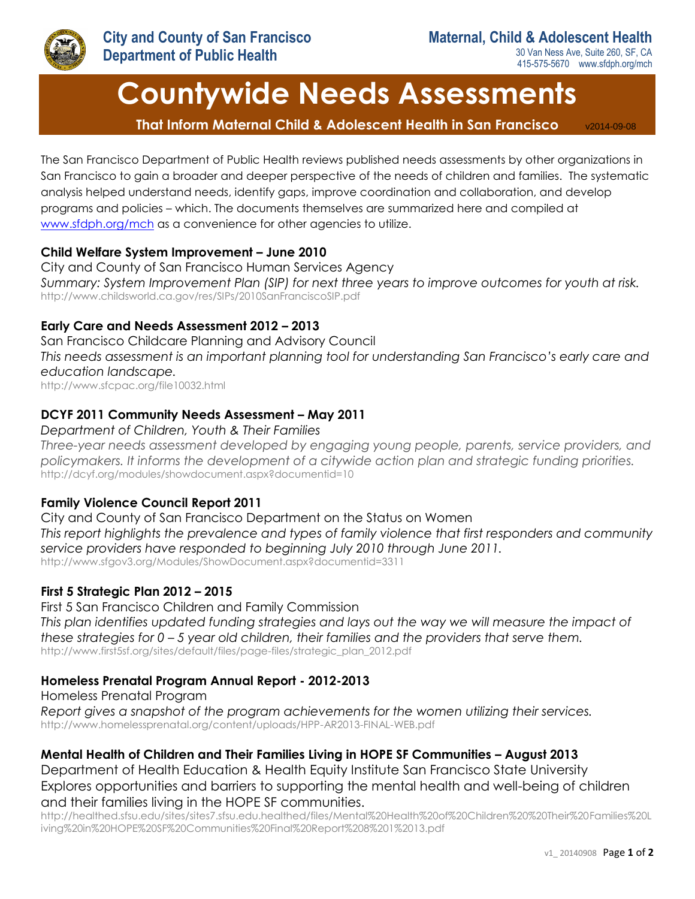

30 Van Ness Ave, Suite 260, SF, CA 415-575-5670 www.sfdph.org/mch

# **Countywide Needs Assessments**

 **That Inform Maternal Child & Adolescent Health in San Francisco** v2014-09-08

The San Francisco Department of Public Health reviews published needs assessments by other organizations in San Francisco to gain a broader and deeper perspective of the needs of children and families. The systematic analysis helped understand needs, identify gaps, improve coordination and collaboration, and develop programs and policies – which. The documents themselves are summarized here and compiled at [www.sfdph.org/mch](http://www.sfdph.org/mch) as a convenience for other agencies to utilize.

#### **Child Welfare System Improvement – June 2010**

City and County of San Francisco Human Services Agency *Summary: System Improvement Plan (SIP) for next three years to improve outcomes for youth at risk.* http://www.childsworld.ca.gov/res/SIPs/2010SanFranciscoSIP.pdf

# **Early Care and Needs Assessment 2012 – 2013**

San Francisco Childcare Planning and Advisory Council *This needs assessment is an important planning tool for understanding San Francisco's early care and education landscape.* http://www.sfcpac.org/file10032.html

# **DCYF 2011 Community Needs Assessment – May 2011**

#### *Department of Children, Youth & Their Families*

*Three-year needs assessment developed by engaging young people, parents, service providers, and policymakers. It informs the development of a citywide action plan and strategic funding priorities.*  http://dcyf.org/modules/showdocument.aspx?documentid=10

# **Family Violence Council Report 2011**

City and County of San Francisco Department on the Status on Women *This report highlights the prevalence and types of family violence that first responders and community service providers have responded to beginning July 2010 through June 2011.* http://www.sfgov3.org/Modules/ShowDocument.aspx?documentid=3311

# **First 5 Strategic Plan 2012 – 2015**

First 5 San Francisco Children and Family Commission *This plan identifies updated funding strategies and lays out the way we will measure the impact of these strategies for 0 – 5 year old children, their families and the providers that serve them.*  http://www.first5sf.org/sites/default/files/page-files/strategic\_plan\_2012.pdf

# **Homeless Prenatal Program Annual Report - 2012-2013**

Homeless Prenatal Program

*Report gives a snapshot of the program achievements for the women utilizing their services.* http://www.homelessprenatal.org/content/uploads/HPP-AR2013-FINAL-WEB.pdf

# **Mental Health of Children and Their Families Living in HOPE SF Communities – August 2013**

Department of Health Education & Health Equity Institute San Francisco State University Explores opportunities and barriers to supporting the mental health and well-being of children and their families living in the HOPE SF communities.

http://healthed.sfsu.edu/sites/sites7.sfsu.edu.healthed/files/Mental%20Health%20of%20Children%20%20Their%20Families%20L iving%20in%20HOPE%20SF%20Communities%20Final%20Report%208%201%2013.pdf